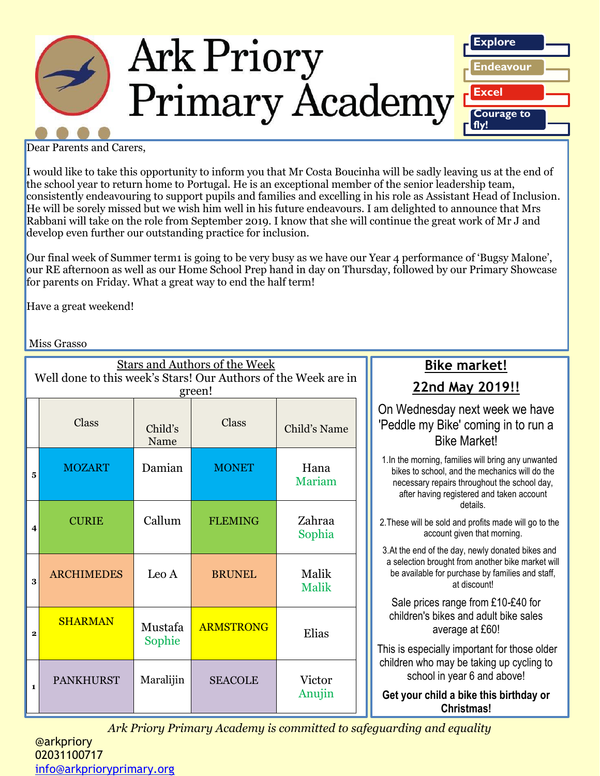

Dear Parents and Carers,

I would like to take this opportunity to inform you that Mr Costa Boucinha will be sadly leaving us at the end of the school year to return home to Portugal. He is an exceptional member of the senior leadership team, consistently endeavouring to support pupils and families and excelling in his role as Assistant Head of Inclusion. He will be sorely missed but we wish him well in his future endeavours. I am delighted to announce that Mrs Rabbani will take on the role from September 2019. I know that she will continue the great work of Mr J and develop even further our outstanding practice for inclusion.

Our final week of Summer term1 is going to be very busy as we have our Year 4 performance of 'Bugsy Malone', our RE afternoon as well as our Home School Prep hand in day on Thursday, followed by our Primary Showcase for parents on Friday. What a great way to end the half term!

Have a great weekend!

Miss Grasso

| <b>Stars and Authors of the Week</b><br>Well done to this week's Stars! Our Authors of the Week are in<br>green! |                   |                   |                  |                       | $\overline{2}$                                |
|------------------------------------------------------------------------------------------------------------------|-------------------|-------------------|------------------|-----------------------|-----------------------------------------------|
|                                                                                                                  | Class             | Child's<br>Name   | Class            | Child's Name          | On Wed<br>'Peddle i                           |
| 5                                                                                                                | <b>MOZART</b>     | Damian            | <b>MONET</b>     | Hana<br>Mariam        | 1.In the mo<br>bikes to<br>necessa<br>after h |
| 4                                                                                                                | <b>CURIE</b>      | Callum            | <b>FLEMING</b>   | Zahraa<br>Sophia      | 2. These wil<br>3.At the en                   |
| 3                                                                                                                | <b>ARCHIMEDES</b> | Leo A             | <b>BRUNEL</b>    | Malik<br><b>Malik</b> | a selectio<br>be availa<br>Sale pr            |
| 2                                                                                                                | <b>SHARMAN</b>    | Mustafa<br>Sophie | <b>ARMSTRONG</b> | Elias                 | childrer<br>This is esp                       |
| $\mathbf{1}$                                                                                                     | <b>PANKHURST</b>  | Maralijin         | <b>SEACOLE</b>   | Victor<br>Anujin      | children w<br>sch<br>Get your                 |

## **Bike market! 22nd May 2019!!**

### nesday next week we have my Bike' coming in to run a Bike Market!

orning, families will bring any unwanted school, and the mechanics will do the ary repairs throughout the school day, aving registered and taken account details.

Il be sold and profits made will go to the account given that morning.

d of the day, newly donated bikes and In brought from another bike market will able for purchase by families and staff, at discount!

rices range from  $£10-E40$  for n's bikes and adult bike sales average at £60!

pecially important for those older vho may be taking up cycling to ool in year 6 and above!

**r** child a bike this birthday or **Christmas!**

*Ark Priory Primary Academy is committed to safeguarding and equality*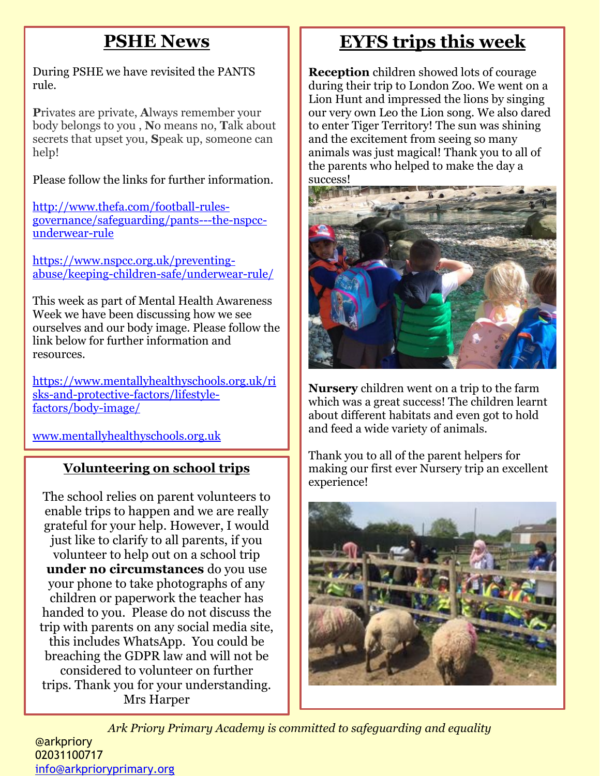# **PSHE News**

During PSHE we have revisited the PANTS rule.

**P**rivates are private, **A**lways remember your body belongs to you , **N**o means no, **T**alk about secrets that upset you, **S**peak up, someone can help!

Please follow the links for further information.

[http://www.thefa.com/football-rules](http://www.thefa.com/football-rules-governance/safeguarding/pants---the-nspcc-underwear-rule)[governance/safeguarding/pants---the-nspcc](http://www.thefa.com/football-rules-governance/safeguarding/pants---the-nspcc-underwear-rule)[underwear-rule](http://www.thefa.com/football-rules-governance/safeguarding/pants---the-nspcc-underwear-rule)

[https://www.nspcc.org.uk/preventing](https://www.nspcc.org.uk/preventing-abuse/keeping-children-safe/underwear-rule/)[abuse/keeping-children-safe/underwear-rule/](https://www.nspcc.org.uk/preventing-abuse/keeping-children-safe/underwear-rule/)

This week as part of Mental Health Awareness Week we have been discussing how we see ourselves and our body image. Please follow the link below for further information and resources.

[https://www.mentallyhealthyschools.org.uk/ri](https://www.mentallyhealthyschools.org.uk/risks-and-protective-factors/lifestyle-factors/body-image/) [sks-and-protective-factors/lifestyle](https://www.mentallyhealthyschools.org.uk/risks-and-protective-factors/lifestyle-factors/body-image/)[factors/body-image/](https://www.mentallyhealthyschools.org.uk/risks-and-protective-factors/lifestyle-factors/body-image/)

[www.mentallyhealthyschools.org.uk](http://www.mentallyhealthyschools.org.uk/)

## **Volunteering on school trips**

The school relies on parent volunteers to enable trips to happen and we are really grateful for your help. However, I would just like to clarify to all parents, if you volunteer to help out on a school trip **under no circumstances** do you use your phone to take photographs of any children or paperwork the teacher has handed to you. Please do not discuss the trip with parents on any social media site, this includes WhatsApp. You could be breaching the GDPR law and will not be considered to volunteer on further trips. Thank you for your understanding. Mrs Harper

# **EYFS trips this week**

**Reception** children showed lots of courage during their trip to London Zoo. We went on a Lion Hunt and impressed the lions by singing our very own Leo the Lion song. We also dared to enter Tiger Territory! The sun was shining and the excitement from seeing so many animals was just magical! Thank you to all of the parents who helped to make the day a success!



**Nursery** children went on a trip to the farm which was a great success! The children learnt about different habitats and even got to hold and feed a wide variety of animals.

Thank you to all of the parent helpers for making our first ever Nursery trip an excellent experience!



*Ark Priory Primary Academy is committed to safeguarding and equality*